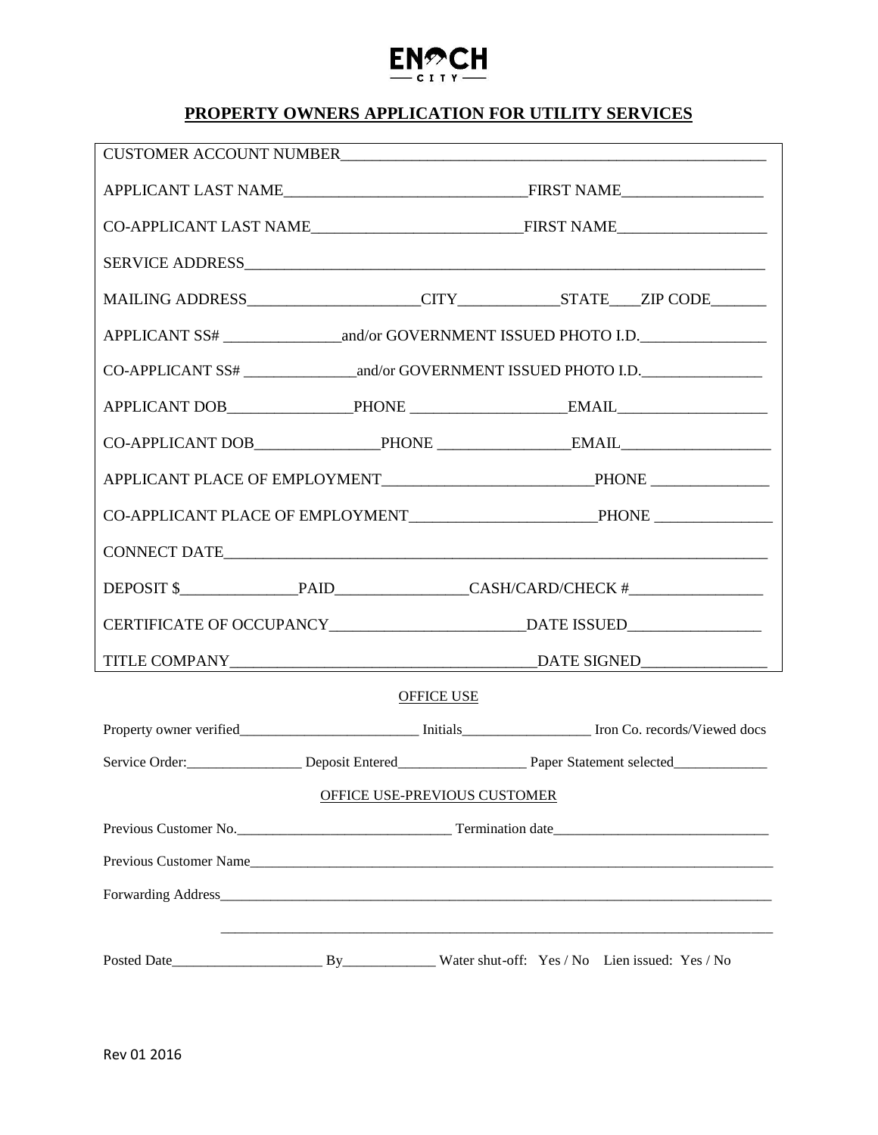# **PROPERTY OWNERS APPLICATION FOR UTILITY SERVICES**

 $EN^{\bigcirc}_{\sub{c}}CH$ 

|                              |  | MAILING ADDRESS____________________CITY_____________STATE____ZIP CODE________ |
|------------------------------|--|-------------------------------------------------------------------------------|
|                              |  |                                                                               |
|                              |  |                                                                               |
|                              |  |                                                                               |
|                              |  |                                                                               |
|                              |  |                                                                               |
|                              |  |                                                                               |
|                              |  | CONNECT DATE                                                                  |
|                              |  |                                                                               |
|                              |  |                                                                               |
|                              |  |                                                                               |
| OFFICE USE                   |  |                                                                               |
|                              |  |                                                                               |
|                              |  | Service Order: Deposit Entered Paper Statement selected                       |
| OFFICE USE-PREVIOUS CUSTOMER |  |                                                                               |
|                              |  |                                                                               |
|                              |  |                                                                               |
|                              |  | Previous Customer Name                                                        |
|                              |  |                                                                               |
|                              |  |                                                                               |